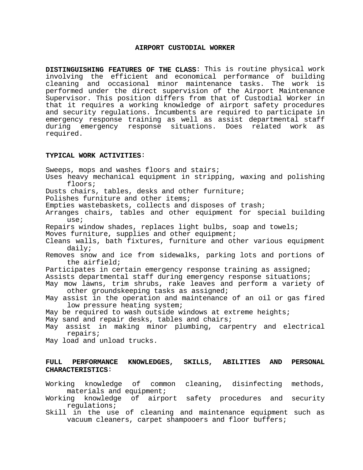## **AIRPORT CUSTODIAL WORKER**

**DISTINGUISHING FEATURES OF THE CLASS**: This is routine physical work involving the efficient and economical performance of building cleaning and occasional minor maintenance tasks. The work is performed under the direct supervision of the Airport Maintenance Supervisor. This position differs from that of Custodial Worker in that it requires a working knowledge of airport safety procedures and security regulations. Incumbents are required to participate in emergency response training as well as assist departmental staff during emergency response situations. Does related work as required.

## **TYPICAL WORK ACTIVITIES**:

**CHARACTERISTICS**:

Sweeps, mops and washes floors and stairs; Uses heavy mechanical equipment in stripping, waxing and polishing floors; Dusts chairs, tables, desks and other furniture; Polishes furniture and other items; Empties wastebaskets, collects and disposes of trash; Arranges chairs, tables and other equipment for special building use; Repairs window shades, replaces light bulbs, soap and towels; Moves furniture, supplies and other equipment; Cleans walls, bath fixtures, furniture and other various equipment daily; Removes snow and ice from sidewalks, parking lots and portions of the airfield; Participates in certain emergency response training as assigned; Assists departmental staff during emergency response situations; May mow lawns, trim shrubs, rake leaves and perform a variety of other groundskeeping tasks as assigned; May assist in the operation and maintenance of an oil or gas fired low pressure heating system; May be required to wash outside windows at extreme heights; May sand and repair desks, tables and chairs; May assist in making minor plumbing, carpentry and electrical repairs; May load and unload trucks.

## **FULL PERFORMANCE KNOWLEDGES, SKILLS, ABILITIES AND PERSONAL**

Working knowledge of common cleaning, disinfecting methods, materials and equipment;

Working knowledge of airport safety procedures and security regulations;

Skill in the use of cleaning and maintenance equipment such as vacuum cleaners, carpet shampooers and floor buffers;